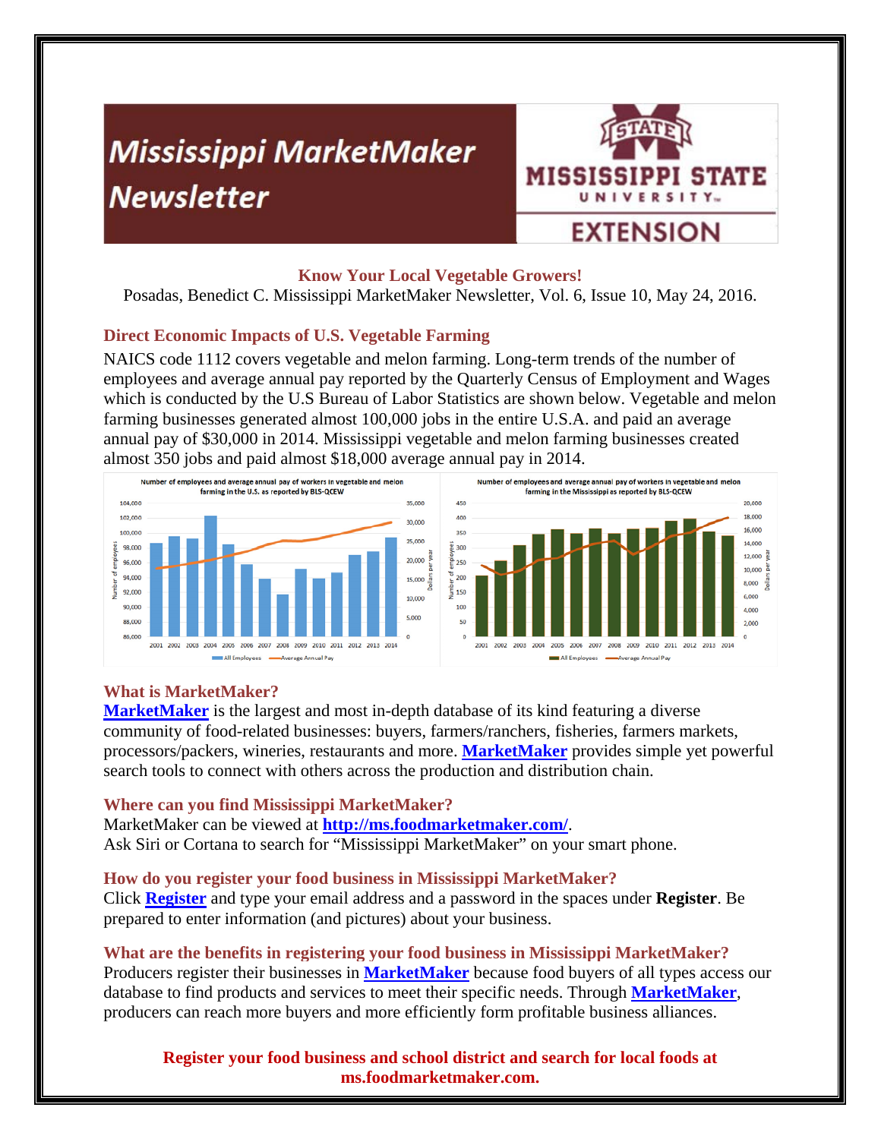# **Mississippi MarketMaker Newsletter**



## **Know Your Local Vegetable Growers!**

Posadas, Benedict C. Mississippi MarketMaker Newsletter, Vol. 6, Issue 10, May 24, 2016.

# **Direct Economic Impacts of U.S. Vegetable Farming**

NAICS code 1112 covers vegetable and melon farming. Long-term trends of the number of employees and average annual pay reported by the Quarterly Census of Employment and Wages which is conducted by the U.S Bureau of Labor Statistics are shown below. Vegetable and melon farming businesses generated almost 100,000 jobs in the entire U.S.A. and paid an average annual pay of \$30,000 in 2014. Mississippi vegetable and melon farming businesses created almost 350 jobs and paid almost \$18,000 average annual pay in 2014.





## **What is MarketMaker?**

**MarketMaker** is the largest and most in-depth database of its kind featuring a diverse community of food-related businesses: buyers, farmers/ranchers, fisheries, farmers markets, processors/packers, wineries, restaurants and more. **MarketMaker** provides simple yet powerful search tools to connect with others across the production and distribution chain.

## **Where can you find Mississippi MarketMaker?**

MarketMaker can be viewed at **http://ms.foodmarketmaker.com/**. Ask Siri or Cortana to search for "Mississippi MarketMaker" on your smart phone.

## **How do you register your food business in Mississippi MarketMaker?**

Click **Register** and type your email address and a password in the spaces under **Register**. Be prepared to enter information (and pictures) about your business.

## **What are the benefits in registering your food business in Mississippi MarketMaker?**

Producers register their businesses in **MarketMaker** because food buyers of all types access our database to find products and services to meet their specific needs. Through **MarketMaker**, producers can reach more buyers and more efficiently form profitable business alliances.

**Register your food business and school district and search for local foods at ms.foodmarketmaker.com.**